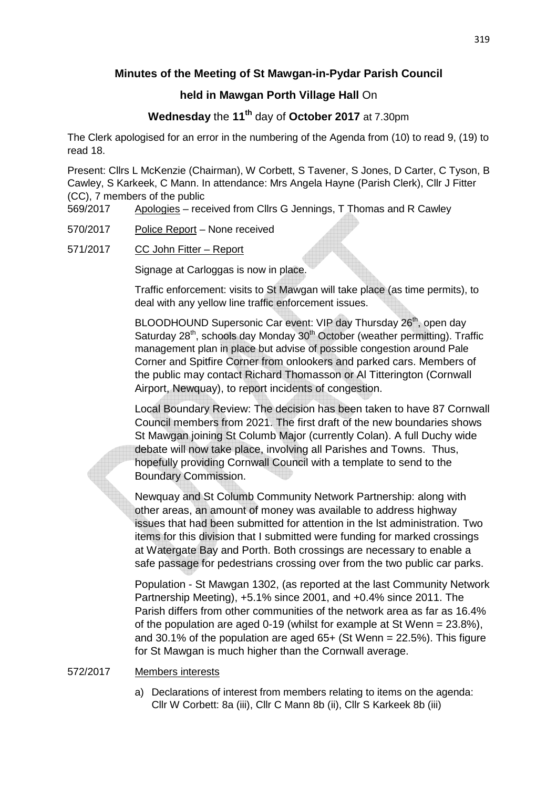## **Minutes of the Meeting of St Mawgan-in-Pydar Parish Council**

## **held in Mawgan Porth Village Hall** On

# **Wednesday** the **11th** day of **October 2017** at 7.30pm

The Clerk apologised for an error in the numbering of the Agenda from (10) to read 9, (19) to read 18.

Present: Cllrs L McKenzie (Chairman), W Corbett, S Tavener, S Jones, D Carter, C Tyson, B Cawley, S Karkeek, C Mann. In attendance: Mrs Angela Hayne (Parish Clerk), Cllr J Fitter (CC), 7 members of the public

569/2017 Apologies – received from Cllrs G Jennings, T Thomas and R Cawley

- 570/2017 Police Report None received
- 571/2017 CC John Fitter Report

Signage at Carloggas is now in place.

 Traffic enforcement: visits to St Mawgan will take place (as time permits), to deal with any yellow line traffic enforcement issues.

BLOODHOUND Supersonic Car event: VIP day Thursday 26<sup>th</sup>, open day Saturday 28<sup>th</sup>, schools day Monday 30<sup>th</sup> October (weather permitting). Traffic management plan in place but advise of possible congestion around Pale Corner and Spitfire Corner from onlookers and parked cars. Members of the public may contact Richard Thomasson or Al Titterington (Cornwall Airport, Newquay), to report incidents of congestion.

 Local Boundary Review: The decision has been taken to have 87 Cornwall Council members from 2021. The first draft of the new boundaries shows St Mawgan joining St Columb Major (currently Colan). A full Duchy wide debate will now take place, involving all Parishes and Towns. Thus, hopefully providing Cornwall Council with a template to send to the Boundary Commission.

 Newquay and St Columb Community Network Partnership: along with other areas, an amount of money was available to address highway issues that had been submitted for attention in the lst administration. Two items for this division that I submitted were funding for marked crossings at Watergate Bay and Porth. Both crossings are necessary to enable a safe passage for pedestrians crossing over from the two public car parks.

 Population - St Mawgan 1302, (as reported at the last Community Network Partnership Meeting), +5.1% since 2001, and +0.4% since 2011. The Parish differs from other communities of the network area as far as 16.4% of the population are aged 0-19 (whilst for example at St Wenn = 23.8%), and 30.1% of the population are aged  $65+$  (St Wenn = 22.5%). This figure for St Mawgan is much higher than the Cornwall average.

#### 572/2017 Members interests

a) Declarations of interest from members relating to items on the agenda: Cllr W Corbett: 8a (iii), Cllr C Mann 8b (ii), Cllr S Karkeek 8b (iii)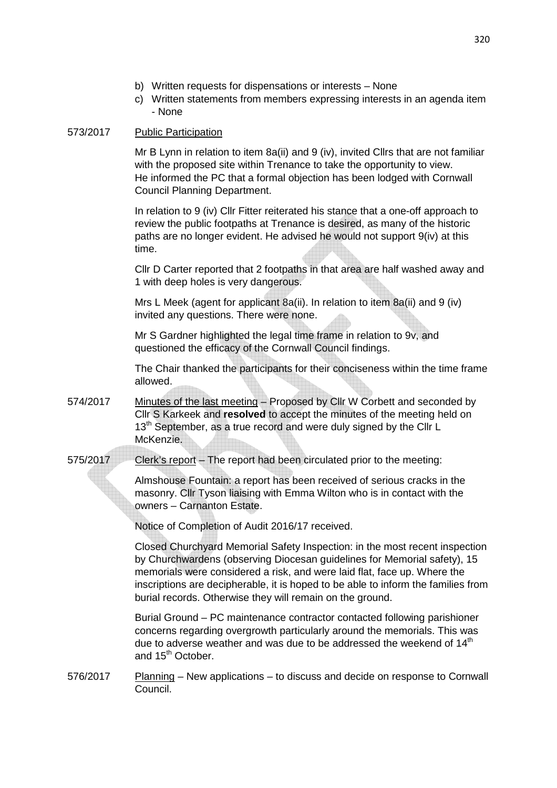- b) Written requests for dispensations or interests None
- c) Written statements from members expressing interests in an agenda item - None

#### 573/2017 Public Participation

 Mr B Lynn in relation to item 8a(ii) and 9 (iv), invited Cllrs that are not familiar with the proposed site within Trenance to take the opportunity to view. He informed the PC that a formal objection has been lodged with Cornwall Council Planning Department.

 In relation to 9 (iv) Cllr Fitter reiterated his stance that a one-off approach to review the public footpaths at Trenance is desired, as many of the historic paths are no longer evident. He advised he would not support 9(iv) at this time.

 Cllr D Carter reported that 2 footpaths in that area are half washed away and 1 with deep holes is very dangerous.

 Mrs L Meek (agent for applicant 8a(ii). In relation to item 8a(ii) and 9 (iv) invited any questions. There were none.

 Mr S Gardner highlighted the legal time frame in relation to 9v, and questioned the efficacy of the Cornwall Council findings.

 The Chair thanked the participants for their conciseness within the time frame allowed.

- 574/2017 Minutes of the last meeting Proposed by Cllr W Corbett and seconded by Cllr S Karkeek and **resolved** to accept the minutes of the meeting held on 13<sup>th</sup> September, as a true record and were duly signed by the Cllr L McKenzie.
- 575/2017 Clerk's report The report had been circulated prior to the meeting:

 Almshouse Fountain: a report has been received of serious cracks in the masonry. Cllr Tyson liaising with Emma Wilton who is in contact with the owners – Carnanton Estate.

Notice of Completion of Audit 2016/17 received.

 Closed Churchyard Memorial Safety Inspection: in the most recent inspection by Churchwardens (observing Diocesan guidelines for Memorial safety), 15 memorials were considered a risk, and were laid flat, face up. Where the inscriptions are decipherable, it is hoped to be able to inform the families from burial records. Otherwise they will remain on the ground.

 Burial Ground – PC maintenance contractor contacted following parishioner concerns regarding overgrowth particularly around the memorials. This was due to adverse weather and was due to be addressed the weekend of 14<sup>th</sup> and 15<sup>th</sup> October.

576/2017 Planning – New applications – to discuss and decide on response to Cornwall Council.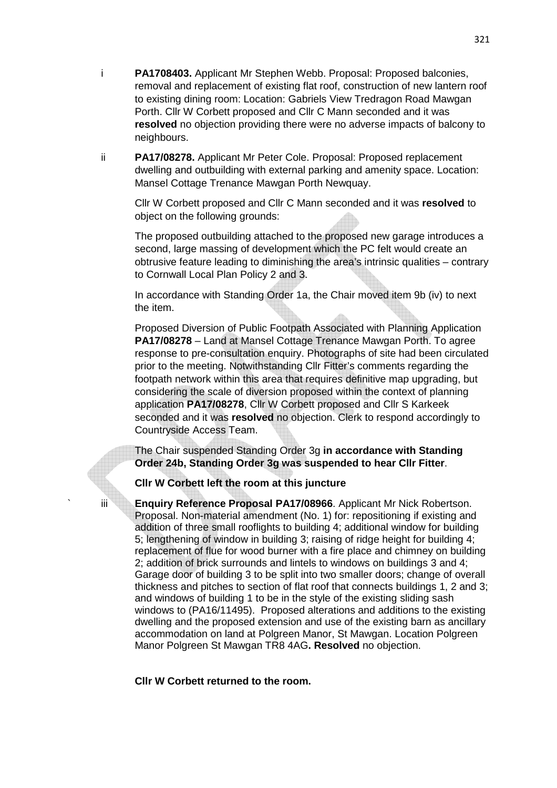- i **PA1708403.** Applicant Mr Stephen Webb. Proposal: Proposed balconies, removal and replacement of existing flat roof, construction of new lantern roof to existing dining room: Location: Gabriels View Tredragon Road Mawgan Porth. Cllr W Corbett proposed and Cllr C Mann seconded and it was **resolved** no objection providing there were no adverse impacts of balcony to neighbours.
- ii **PA17/08278.** Applicant Mr Peter Cole. Proposal: Proposed replacement dwelling and outbuilding with external parking and amenity space. Location: Mansel Cottage Trenance Mawgan Porth Newquay.

 Cllr W Corbett proposed and Cllr C Mann seconded and it was **resolved** to object on the following grounds:

 The proposed outbuilding attached to the proposed new garage introduces a second, large massing of development which the PC felt would create an obtrusive feature leading to diminishing the area's intrinsic qualities – contrary to Cornwall Local Plan Policy 2 and 3.

 In accordance with Standing Order 1a, the Chair moved item 9b (iv) to next the item.

 Proposed Diversion of Public Footpath Associated with Planning Application **PA17/08278** – Land at Mansel Cottage Trenance Mawgan Porth. To agree response to pre-consultation enquiry. Photographs of site had been circulated prior to the meeting. Notwithstanding Cllr Fitter's comments regarding the footpath network within this area that requires definitive map upgrading, but considering the scale of diversion proposed within the context of planning application **PA17/08278**, Cllr W Corbett proposed and Cllr S Karkeek seconded and it was **resolved** no objection. Clerk to respond accordingly to Countryside Access Team.

 The Chair suspended Standing Order 3g **in accordance with Standing Order 24b, Standing Order 3g was suspended to hear Cllr Fitter**.

**Cllr W Corbett left the room at this juncture** 

iii **Enquiry Reference Proposal PA17/08966**. Applicant Mr Nick Robertson. Proposal. Non-material amendment (No. 1) for: repositioning if existing and addition of three small rooflights to building 4; additional window for building 5; lengthening of window in building 3; raising of ridge height for building 4; replacement of flue for wood burner with a fire place and chimney on building 2; addition of brick surrounds and lintels to windows on buildings 3 and 4; Garage door of building 3 to be split into two smaller doors; change of overall thickness and pitches to section of flat roof that connects buildings 1, 2 and 3; and windows of building 1 to be in the style of the existing sliding sash windows to (PA16/11495). Proposed alterations and additions to the existing dwelling and the proposed extension and use of the existing barn as ancillary accommodation on land at Polgreen Manor, St Mawgan. Location Polgreen Manor Polgreen St Mawgan TR8 4AG**. Resolved** no objection.

 **Cllr W Corbett returned to the room.**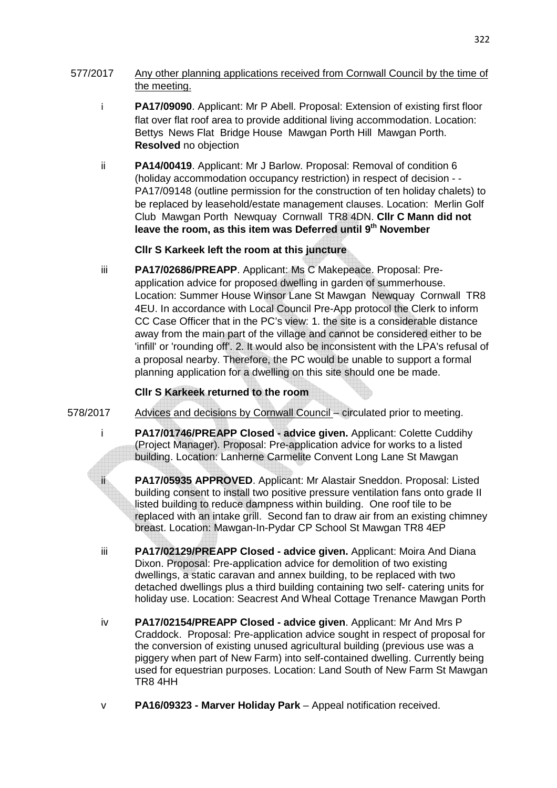#### 577/2017 Any other planning applications received from Cornwall Council by the time of the meeting.

- i **PA17/09090**. Applicant: Mr P Abell. Proposal: Extension of existing first floor flat over flat roof area to provide additional living accommodation. Location: Bettys News Flat Bridge House Mawgan Porth Hill Mawgan Porth. **Resolved** no objection
- ii **PA14/00419**. Applicant: Mr J Barlow. Proposal: Removal of condition 6 (holiday accommodation occupancy restriction) in respect of decision - - PA17/09148 (outline permission for the construction of ten holiday chalets) to be replaced by leasehold/estate management clauses. Location: Merlin Golf Club Mawgan Porth Newquay Cornwall TR8 4DN. **Cllr C Mann did not leave the room, as this item was Deferred until 9th November**

#### **Cllr S Karkeek left the room at this juncture**

iii **PA17/02686/PREAPP**. Applicant: Ms C Makepeace. Proposal: Pre application advice for proposed dwelling in garden of summerhouse. Location: Summer House Winsor Lane St Mawgan Newquay Cornwall TR8 4EU. In accordance with Local Council Pre-App protocol the Clerk to inform CC Case Officer that in the PC's view: 1. the site is a considerable distance away from the main part of the village and cannot be considered either to be 'infill' or 'rounding off'. 2. It would also be inconsistent with the LPA's refusal of a proposal nearby. Therefore, the PC would be unable to support a formal planning application for a dwelling on this site should one be made.

#### **Cllr S Karkeek returned to the room**

- 578/2017 Advices and decisions by Cornwall Council circulated prior to meeting.
	- i **PA17/01746/PREAPP Closed advice given.** Applicant: Colette Cuddihy (Project Manager). Proposal: Pre-application advice for works to a listed building. Location: Lanherne Carmelite Convent Long Lane St Mawgan

 ii **PA17/05935 APPROVED**. Applicant: Mr Alastair Sneddon. Proposal: Listed building consent to install two positive pressure ventilation fans onto grade II listed building to reduce dampness within building. One roof tile to be replaced with an intake grill. Second fan to draw air from an existing chimney breast. Location: Mawgan-In-Pydar CP School St Mawgan TR8 4EP

- iii **PA17/02129/PREAPP Closed advice given.** Applicant: Moira And Diana Dixon. Proposal: Pre-application advice for demolition of two existing dwellings, a static caravan and annex building, to be replaced with two detached dwellings plus a third building containing two self- catering units for holiday use. Location: Seacrest And Wheal Cottage Trenance Mawgan Porth
- iv **PA17/02154/PREAPP Closed advice given**. Applicant: Mr And Mrs P Craddock. Proposal: Pre-application advice sought in respect of proposal for the conversion of existing unused agricultural building (previous use was a piggery when part of New Farm) into self-contained dwelling. Currently being used for equestrian purposes. Location: Land South of New Farm St Mawgan TR8 4HH
- v **PA16/09323 Marver Holiday Park** Appeal notification received.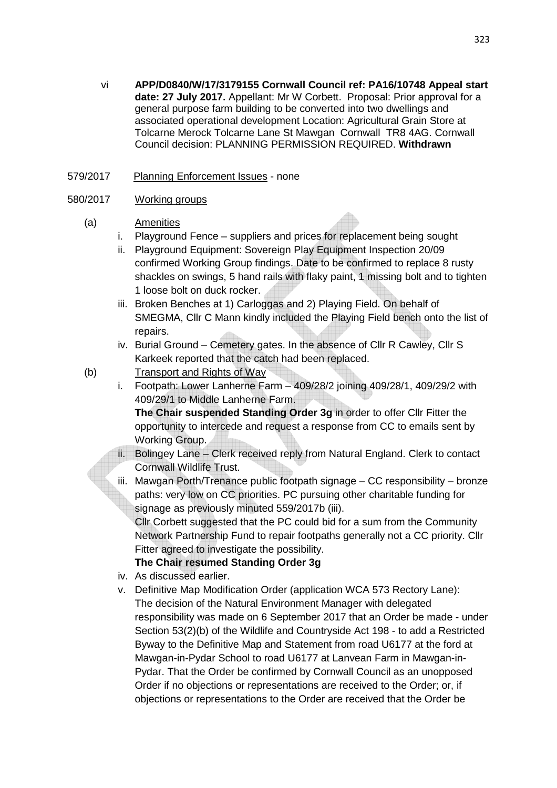vi **APP/D0840/W/17/3179155 Cornwall Council ref: PA16/10748 Appeal start date: 27 July 2017.** Appellant: Mr W Corbett. Proposal: Prior approval for a general purpose farm building to be converted into two dwellings and associated operational development Location: Agricultural Grain Store at Tolcarne Merock Tolcarne Lane St Mawgan Cornwall TR8 4AG. Cornwall Council decision: PLANNING PERMISSION REQUIRED. **Withdrawn** 

## 579/2017 Planning Enforcement Issues - none

### 580/2017 Working groups

- (a) Amenities
	- i. Playground Fence suppliers and prices for replacement being sought
	- ii. Playground Equipment: Sovereign Play Equipment Inspection 20/09 confirmed Working Group findings. Date to be confirmed to replace 8 rusty shackles on swings, 5 hand rails with flaky paint, 1 missing bolt and to tighten 1 loose bolt on duck rocker.
	- iii. Broken Benches at 1) Carloggas and 2) Playing Field. On behalf of SMEGMA, Cllr C Mann kindly included the Playing Field bench onto the list of repairs.
	- iv. Burial Ground Cemetery gates. In the absence of Cllr R Cawley, Cllr S Karkeek reported that the catch had been replaced.
- (b) Transport and Rights of Way
	- i. Footpath: Lower Lanherne Farm 409/28/2 joining 409/28/1, 409/29/2 with 409/29/1 to Middle Lanherne Farm.

**The Chair suspended Standing Order 3g** in order to offer Cllr Fitter the opportunity to intercede and request a response from CC to emails sent by Working Group.

- ii. Bolingey Lane Clerk received reply from Natural England. Clerk to contact Cornwall Wildlife Trust.
- iii. Mawgan Porth/Trenance public footpath signage CC responsibility bronze paths: very low on CC priorities. PC pursuing other charitable funding for signage as previously minuted 559/2017b (iii).

Cllr Corbett suggested that the PC could bid for a sum from the Community Network Partnership Fund to repair footpaths generally not a CC priority. Cllr Fitter agreed to investigate the possibility.

## **The Chair resumed Standing Order 3g**

- iv. As discussed earlier.
- v. Definitive Map Modification Order (application WCA 573 Rectory Lane): The decision of the Natural Environment Manager with delegated responsibility was made on 6 September 2017 that an Order be made - under Section 53(2)(b) of the Wildlife and Countryside Act 198 - to add a Restricted Byway to the Definitive Map and Statement from road U6177 at the ford at Mawgan-in-Pydar School to road U6177 at Lanvean Farm in Mawgan-in-Pydar. That the Order be confirmed by Cornwall Council as an unopposed Order if no objections or representations are received to the Order; or, if objections or representations to the Order are received that the Order be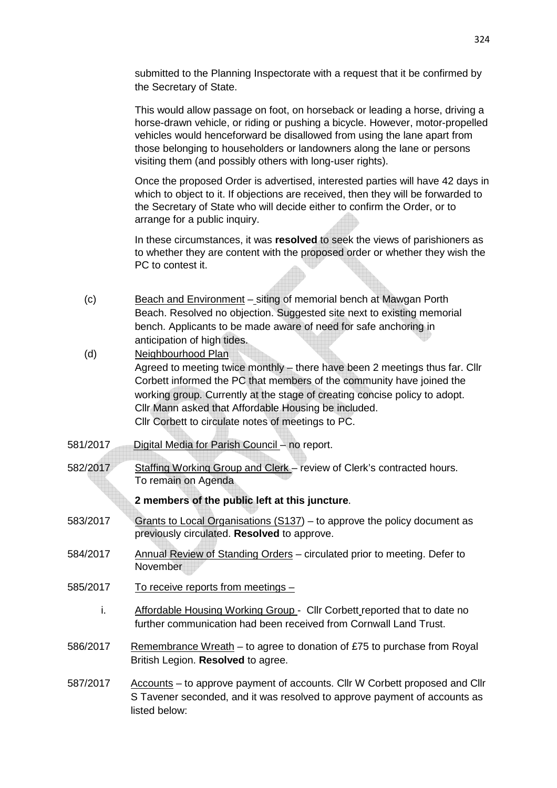submitted to the Planning Inspectorate with a request that it be confirmed by the Secretary of State.

 This would allow passage on foot, on horseback or leading a horse, driving a horse-drawn vehicle, or riding or pushing a bicycle. However, motor-propelled vehicles would henceforward be disallowed from using the lane apart from those belonging to householders or landowners along the lane or persons visiting them (and possibly others with long-user rights).

 Once the proposed Order is advertised, interested parties will have 42 days in which to object to it. If objections are received, then they will be forwarded to the Secretary of State who will decide either to confirm the Order, or to arrange for a public inquiry.

 In these circumstances, it was **resolved** to seek the views of parishioners as to whether they are content with the proposed order or whether they wish the PC to contest it.

- (c) Beach and Environment siting of memorial bench at Mawgan Porth Beach. Resolved no objection. Suggested site next to existing memorial bench. Applicants to be made aware of need for safe anchoring in anticipation of high tides.
- (d) Neighbourhood Plan Agreed to meeting twice monthly – there have been 2 meetings thus far. Cllr Corbett informed the PC that members of the community have joined the working group. Currently at the stage of creating concise policy to adopt. Cllr Mann asked that Affordable Housing be included. Cllr Corbett to circulate notes of meetings to PC.
- 581/2017 Digital Media for Parish Council no report.
- 582/2017 Staffing Working Group and Clerk review of Clerk's contracted hours. To remain on Agenda

#### **2 members of the public left at this juncture**.

- 583/2017 Grants to Local Organisations (S137) to approve the policy document as previously circulated. **Resolved** to approve.
- 584/2017 Annual Review of Standing Orders circulated prior to meeting. Defer to **November**
- 585/2017 To receive reports from meetings
	- i. Affordable Housing Working Group Cllr Corbett reported that to date no further communication had been received from Cornwall Land Trust.
- 586/2017 Remembrance Wreath to agree to donation of £75 to purchase from Royal British Legion. **Resolved** to agree.
- 587/2017 Accounts to approve payment of accounts. Cllr W Corbett proposed and Cllr S Tavener seconded, and it was resolved to approve payment of accounts as listed below: